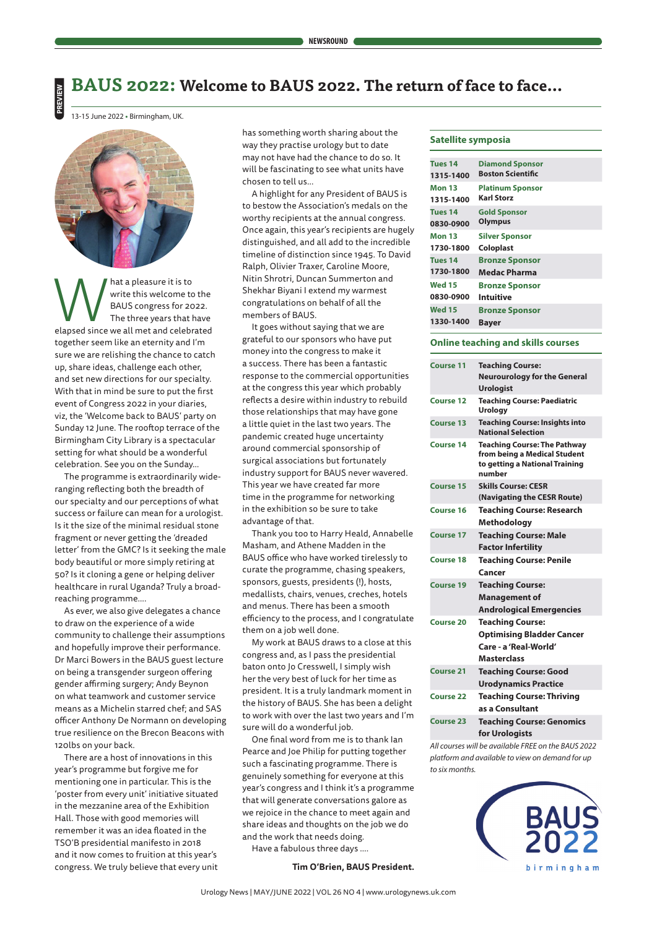# **BAUS 2022: Welcome to BAUS 2022. The return of face to face…**

13-15 June 2022 **•** Birmingham, UK.

**PREVIEW**



Mat a pleasure it is to<br>
write this welcome to the<br>
BAUS congress for 2022.<br>
The three years that have<br>
elapsed since we all met and celebrated write this welcome to the BAUS congress for 2022. The three years that have together seem like an eternity and I'm sure we are relishing the chance to catch up, share ideas, challenge each other, and set new directions for our specialty. With that in mind be sure to put the first event of Congress 2022 in your diaries, viz, the 'Welcome back to BAUS' party on Sunday 12 June. The rooftop terrace of the Birmingham City Library is a spectacular setting for what should be a wonderful celebration. See you on the Sunday…

The programme is extraordinarily wideranging reflecting both the breadth of our specialty and our perceptions of what success or failure can mean for a urologist. Is it the size of the minimal residual stone fragment or never getting the 'dreaded letter' from the GMC? Is it seeking the male body beautiful or more simply retiring at 50? Is it cloning a gene or helping deliver healthcare in rural Uganda? Truly a broadreaching programme….

As ever, we also give delegates a chance to draw on the experience of a wide community to challenge their assumptions and hopefully improve their performance. Dr Marci Bowers in the BAUS guest lecture on being a transgender surgeon offering gender affirming surgery; Andy Beynon on what teamwork and customer service means as a Michelin starred chef; and SAS officer Anthony De Normann on developing true resilience on the Brecon Beacons with 120lbs on your back.

There are a host of innovations in this year's programme but forgive me for mentioning one in particular. This is the 'poster from every unit' initiative situated in the mezzanine area of the Exhibition Hall. Those with good memories will remember it was an idea floated in the TSO'B presidential manifesto in 2018 and it now comes to fruition at this year's congress. We truly believe that every unit

has something worth sharing about the way they practise urology but to date may not have had the chance to do so. It will be fascinating to see what units have chosen to tell us...

A highlight for any President of BAUS is to bestow the Association's medals on the worthy recipients at the annual congress. Once again, this year's recipients are hugely distinguished, and all add to the incredible timeline of distinction since 1945. To David Ralph, Olivier Traxer, Caroline Moore, Nitin Shrotri, Duncan Summerton and Shekhar Biyani I extend my warmest congratulations on behalf of all the members of BAUS.

It goes without saying that we are grateful to our sponsors who have put money into the congress to make it a success. There has been a fantastic response to the commercial opportunities at the congress this year which probably reflects a desire within industry to rebuild those relationships that may have gone a little quiet in the last two years. The pandemic created huge uncertainty around commercial sponsorship of surgical associations but fortunately industry support for BAUS never wavered. This year we have created far more time in the programme for networking in the exhibition so be sure to take advantage of that.

Thank you too to Harry Heald, Annabelle Masham, and Athene Madden in the BAUS office who have worked tirelessly to curate the programme, chasing speakers, sponsors, guests, presidents (!), hosts, medallists, chairs, venues, creches, hotels and menus. There has been a smooth efficiency to the process, and I congratulate them on a job well done.

My work at BAUS draws to a close at this congress and, as I pass the presidential baton onto Jo Cresswell, I simply wish her the very best of luck for her time as president. It is a truly landmark moment in the history of BAUS. She has been a delight to work with over the last two years and I'm sure will do a wonderful job.

One final word from me is to thank Ian Pearce and Joe Philip for putting together such a fascinating programme. There is genuinely something for everyone at this year's congress and I think it's a programme that will generate conversations galore as we rejoice in the chance to meet again and share ideas and thoughts on the job we do and the work that needs doing.

Have a fabulous three days ….

**Tim O'Brien, BAUS President.**

### **Satellite symposia**

| Tues 14       | <b>Diamond Sponsor</b>   |
|---------------|--------------------------|
| 1315-1400     | <b>Boston Scientific</b> |
| Mon 13        | <b>Platinum Sponsor</b>  |
| 1315-1400     | <b>Karl Storz</b>        |
| Tues 14       | <b>Gold Sponsor</b>      |
| 0830-0900     | Olympus                  |
| Mon 13        | <b>Silver Sponsor</b>    |
| 1730-1800     | <b>Coloplast</b>         |
| Tues 14       | <b>Bronze Sponsor</b>    |
| 1730-1800     | <b>Medac Pharma</b>      |
| <b>Wed 15</b> | <b>Bronze Sponsor</b>    |
| 0830-0900     | Intuitive                |
| <b>Wed 15</b> | <b>Bronze Sponsor</b>    |
| 1330-1400     | <b>Bayer</b>             |

### **Online teaching and skills courses**

| <b>Course 11</b> | <b>Teaching Course:</b><br><b>Neurourology for the General</b><br><b>Urologist</b>                              |
|------------------|-----------------------------------------------------------------------------------------------------------------|
| <b>Course 12</b> | <b>Teaching Course: Paediatric</b><br><b>Urology</b>                                                            |
| <b>Course 13</b> | <b>Teaching Course: Insights into</b><br><b>National Selection</b>                                              |
| <b>Course 14</b> | <b>Teaching Course: The Pathway</b><br>from being a Medical Student<br>to getting a National Training<br>number |
| Course 15        | <b>Skills Course: CESR</b><br>(Navigating the CESR Route)                                                       |
| Course 16        | <b>Teaching Course: Research</b><br>Methodology                                                                 |
| <b>Course 17</b> | <b>Teaching Course: Male</b><br><b>Factor Infertility</b>                                                       |
| <b>Course 18</b> | <b>Teaching Course: Penile</b><br>Cancer                                                                        |
| <b>Course 19</b> | <b>Teaching Course:</b><br><b>Management of</b><br><b>Andrological Emergencies</b>                              |
| <b>Course 20</b> | <b>Teaching Course:</b><br><b>Optimising Bladder Cancer</b><br>Care - a 'Real-World'<br>Masterclass             |
| Course 21        | <b>Teaching Course: Good</b><br><b>Urodynamics Practice</b>                                                     |
| <b>Course 22</b> | <b>Teaching Course: Thriving</b><br>as a Consultant                                                             |
| <b>Course 23</b> | <b>Teaching Course: Genomics</b><br>for Urologists                                                              |

*All courses will be available FREE on the BAUS 2022 platform and available to view on demand for up to six months.*